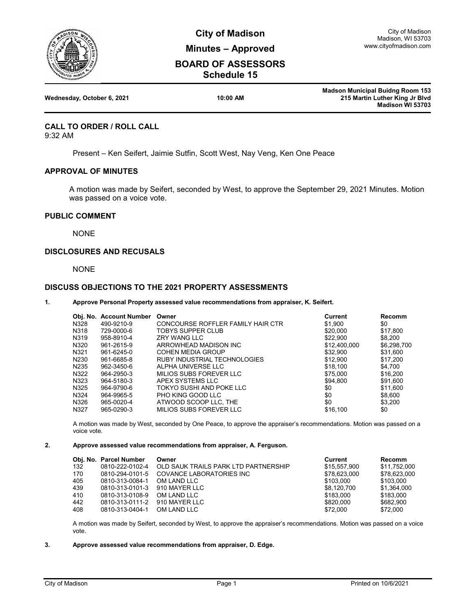

**City of Madison Minutes – Approved**

# **BOARD OF ASSESSORS Schedule 15**

|                            |          | <b>Madson Municipal Buidng Room 153</b> |
|----------------------------|----------|-----------------------------------------|
| Wednesday, October 6, 2021 | 10:00 AM | 215 Martin Luther King Jr Blvd          |
|                            |          | <b>Madison WI 53703</b>                 |

# **CALL TO ORDER / ROLL CALL**

9:32 AM

Present – Ken Seifert, Jaimie Sutfin, Scott West, Nay Veng, Ken One Peace

# **APPROVAL OF MINUTES**

A motion was made by Seifert, seconded by West, to approve the September 29, 2021 Minutes. Motion was passed on a voice vote.

## **PUBLIC COMMENT**

NONE

# **DISCLOSURES AND RECUSALS**

NONE

## **DISCUSS OBJECTIONS TO THE 2021 PROPERTY ASSESSMENTS**

### **1. Approve Personal Property assessed value recommendations from appraiser, K. Seifert.**

|                   | Obj. No. Account Number | Owner                             | Current      | Recomm      |
|-------------------|-------------------------|-----------------------------------|--------------|-------------|
| N328              | 490-9210-9              | CONCOURSE ROFFLER FAMILY HAIR CTR | \$1,900      | \$0         |
| N318              | 729-0000-6              | TOBYS SUPPER CLUB                 | \$20,000     | \$17.800    |
| N319              | 958-8910-4              | <b>ZRY WANG LLC</b>               | \$22,900     | \$8.200     |
| N320              | 961-2615-9              | ARROWHEAD MADISON INC             | \$12,400,000 | \$6,298,700 |
| N321              | 961-6245-0              | COHEN MEDIA GROUP                 | \$32,900     | \$31,600    |
| N230              | 961-6685-8              | RUBY INDUSTRIAL TECHNOLOGIES      | \$12,900     | \$17,200    |
| N <sub>2</sub> 35 | 962-3450-6              | ALPHA UNIVERSE LLC                | \$18.100     | \$4.700     |
| N322              | 964-2950-3              | MILIOS SUBS FOREVER LLC           | \$75,000     | \$16,200    |
| N323              | 964-5180-3              | APEX SYSTEMS LLC                  | \$94.800     | \$91.600    |
| N325              | 964-9790-6              | TOKYO SUSHI AND POKE LLC          | \$0          | \$11,600    |
| N324              | 964-9965-5              | PHO KING GOOD LLC                 | \$0          | \$8,600     |
| N326              | 965-0020-4              | ATWOOD SCOOP LLC. THE             | \$0          | \$3.200     |
| N327              | 965-0290-3              | MILIOS SUBS FOREVER LLC           | \$16,100     | \$0         |

A motion was made by West, seconded by One Peace, to approve the appraiser's recommendations. Motion was passed on a voice vote.

#### **2. Approve assessed value recommendations from appraiser, A. Ferguson.**

|     | Obj. No. Parcel Number | Owner                                | Current      | <b>Recomm</b> |
|-----|------------------------|--------------------------------------|--------------|---------------|
| 132 | 0810-222-0102-4        | OLD SAUK TRAILS PARK LTD PARTNERSHIP | \$15,557,900 | \$11.752.000  |
| 170 | 0810-294-0101-5        | COVANCE LABORATORIES INC             | \$78.623.000 | \$78.623.000  |
| 405 | 0810-313-0084-1        | OM LAND LLC                          | \$103.000    | \$103.000     |
| 439 | 0810-313-0101-3        | 910 MAYER LLC                        | \$8.120.700  | \$1.364.000   |
| 410 | 0810-313-0108-9        | OM LAND LLC                          | \$183.000    | \$183.000     |
| 442 | 0810-313-0111-2        | 910 MAYER LLC                        | \$820,000    | \$682,900     |
| 408 | 0810-313-0404-1        | OM LAND LLC                          | \$72,000     | \$72,000      |

A motion was made by Seifert, seconded by West, to approve the appraiser's recommendations. Motion was passed on a voice vote.

#### **3. Approve assessed value recommendations from appraiser, D. Edge.**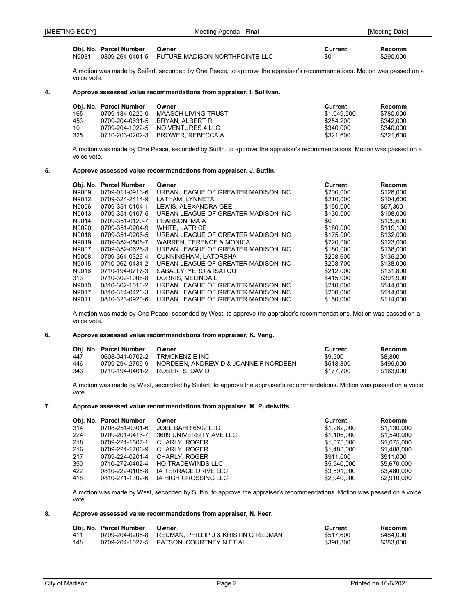A motion was made by Seifert, seconded by One Peace, to approve the appraiser's recommendations. Motion was passed on a voice vote.

#### **4. Approve assessed value recommendations from appraiser, I. Sullivan.**

|     | Obi. No. Parcel Number | Owner                             | Current     | Recomm    |
|-----|------------------------|-----------------------------------|-------------|-----------|
| 165 | 0709-184-0220-0        | MAASCH LIVING TRUST               | \$1.049.500 | \$780.000 |
| 453 |                        | 0709-204-0631-5 BRYAN, ALBERT R   | \$254.200   | \$342.000 |
| 10  |                        | 0709-204-1022-5 NO VENTURES 4 LLC | \$340,000   | \$340.000 |
| 325 |                        | 0710-203-0202-3 BROWER, REBECCA A | \$321.600   | \$321.600 |

A motion was made by One Peace, seconded by Sutfin, to approve the appraiser's recommendations. Motion was passed on a voice vote.

### **5. Approve assessed value recommendations from appraiser, J. Sutfin.**

|       | Obj. No. Parcel Number | Owner                                | <b>Current</b> | <b>Recomm</b> |
|-------|------------------------|--------------------------------------|----------------|---------------|
| N9009 | 0709-011-0913-6        | URBAN LEAGUE OF GREATER MADISON INC  | \$200,000      | \$126,000     |
| N9012 | 0709-324-2414-9        | LATHAM, LYNNETA                      | \$210,000      | \$104.600     |
| N9006 | 0709-351-0104-1        | LEWIS, ALEXANDRA GEE                 | \$150,000      | \$97,300      |
| N9013 | 0709-351-0107-5        | URBAN LEAGUE OF GREATER MADISON INC  | \$130,000      | \$108,000     |
| N9014 | 0709-351-0120-7        | PEARSON, MAIA                        | \$0            | \$129,600     |
| N9020 | 0709-351-0204-9        | <b>WHITE, LATRICE</b>                | \$180,000      | \$119.100     |
| N9018 | 0709-351-0206-5        | URBAN LEAGUE OF GREATER MADISON INC  | \$175,000      | \$132,000     |
| N9019 | 0709-352-0506-7        | <b>WARREN, TERENCE &amp; MONICA</b>  | \$220,000      | \$123,000     |
| N9007 | 0709-352-0626-3        | URBAN LEAGUE OF GREATER MADISON INC  | \$180,000      | \$138,000     |
| N9008 | 0709-364-0326-4        | CUNNINGHAM, LATORSHA                 | \$208,600      | \$136.200     |
| N9015 | 0710-062-0434-2        | URBAN LEAGUE OF GREATER MADISON INC. | \$208.700      | \$138,000     |
| N9016 | 0710-194-0717-3        | SABALLY, YERO & ISATOU               | \$212,000      | \$131.800     |
| 313   | 0710-302-1006-8        | DORRIS, MELINDA L                    | \$415,000      | \$391.900     |
| N9010 | 0810-302-1018-2        | URBAN LEAGUE OF GREATER MADISON INC  | \$210,000      | \$144.000     |
| N9017 | 0810-314-0426-3        | URBAN LEAGUE OF GREATER MADISON INC  | \$200,000      | \$114,000     |
| N9011 | 0810-323-0920-6        | URBAN LEAGUE OF GREATER MADISON INC  | \$160,000      | \$114.000     |

A motion was made by One Peace, seconded by West, to approve the appraiser's recommendations. Motion was passed on a voice vote.

### **6. Approve assessed value recommendations from appraiser, K. Veng.**

|     | Obi. No. Parcel Number | Owner                                                | Current   | Recomm    |
|-----|------------------------|------------------------------------------------------|-----------|-----------|
| 447 | 0608-041-0702-2        | TRMCKENZIE INC                                       | \$9.500   | \$8.800   |
| 446 |                        | 0709-294-2709-9 NORDEEN, ANDREW D & JOANNE F NORDEEN | \$518,800 | \$499,000 |
| 343 |                        | 0710-194-0401-2 ROBERTS, DAVID                       | \$177.700 | \$163,000 |

A motion was made by West, seconded by Seifert, to approve the appraiser's recommendations. Motion was passed on a voice vote.

## **7. Approve assessed value recommendations from appraiser, M. Pudelwitts.**

|     | Obj. No. Parcel Number | Owner                    | Current     | <b>Recomm</b> |
|-----|------------------------|--------------------------|-------------|---------------|
| 314 | 0708-251-0301-6        | JOEL BAHR 6502 LLC       | \$1.262.000 | \$1,130,000   |
| 224 | 0709-201-0416-7        | 3609 UNIVERSITY AVE LLC  | \$1.106.000 | \$1.540.000   |
| 218 | 0709-221-1507-1        | CHARLY, ROGER            | \$1.075.000 | \$1.075.000   |
| 216 | 0709-221-1706-9        | CHARLY, ROGER            | \$1.488,000 | \$1.488.000   |
| 217 | 0709-224-0201-4        | <b>CHARLY, ROGER</b>     | \$911.000   | \$911.000     |
| 350 | 0710-272-0402-4        | <b>HQ TRADEWINDS LLC</b> | \$5.940.000 | \$5.670.000   |
| 422 | 0810-222-0105-8        | IA TERRACE DRIVE LLC     | \$3.591.000 | \$3.480.000   |
| 418 | 0810-271-1302-6        | IA HIGH CROSSING LLC     | \$2.940.000 | \$2.910.000   |

A motion was made by West, seconded by Sutfin, to approve the appraiser's recommendations. Motion was passed on a voice vote.

### **8. Approve assessed value recommendations from appraiser, N. Heer.**

|     | Obj. No. Parcel Number | Owner                                                | Current   | Recomm    |
|-----|------------------------|------------------------------------------------------|-----------|-----------|
| 411 |                        | 0709-204-0205-8 REDMAN, PHILLIP J & KRISTIN G REDMAN | \$517,600 | \$484,000 |
| 148 |                        | 0709-204-1027-5 PATSON, COURTNEY N ET AL             | \$398.300 | \$383.000 |